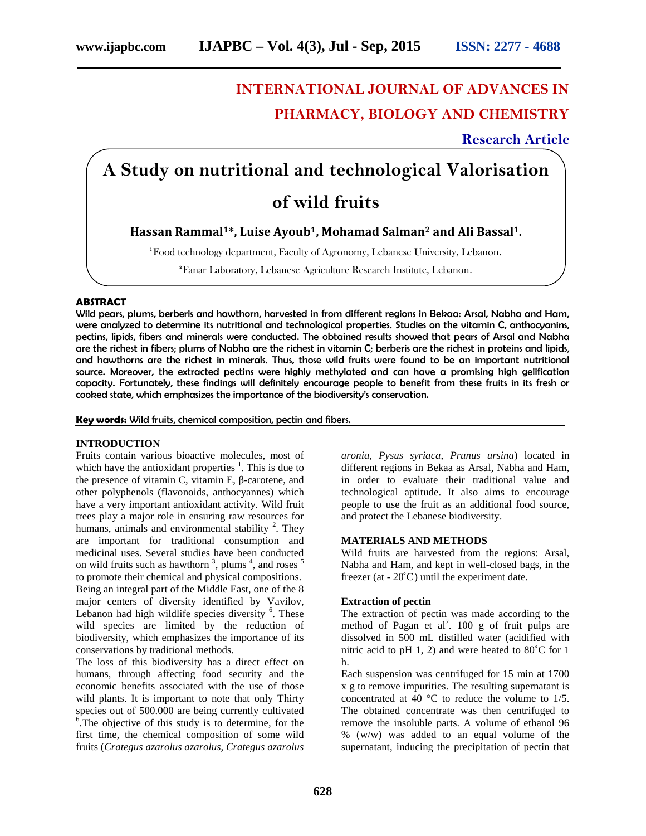# **INTERNATIONAL JOURNAL OF ADVANCES IN PHARMACY, BIOLOGY AND CHEMISTRY**

# **Research Article**

# **A Study on nutritional and technological Valorisation of wild fruits**

**Hassan Rammal1\*, Luise Ayoub1, Mohamad Salman<sup>2</sup> and Ali Bassal1.**

**<sup>1</sup>**Food technology department, Faculty of Agronomy, Lebanese University, Lebanon.

**2**Fanar Laboratory, Lebanese Agriculture Research Institute, Lebanon.

# **ABSTRACT**

Wild pears, plums, berberis and hawthorn, harvested in from different regions in Bekaa: Arsal, Nabha and Ham, were analyzed to determine its nutritional and technological properties. Studies on the vitamin C, anthocyanins, pectins, lipids, fibers and minerals were conducted. The obtained results showed that pears of Arsal and Nabha are the richest in fibers; plums of Nabha are the richest in vitamin C; berberis are the richest in proteins and lipids, and hawthorns are the richest in minerals. Thus, those wild fruits were found to be an important nutritional source. Moreover, the extracted pectins were highly methylated and can have a promising high gelification capacity. Fortunately, these findings will definitely encourage people to benefit from these fruits in its fresh or cooked state, which emphasizes the importance of the biodiversity's conservation.

**Key words:** Wild fruits, chemical composition, pectin and fibers.

# **INTRODUCTION**

Fruits contain various bioactive molecules, most of which have the antioxidant properties  $\frac{1}{1}$ . This is due to the presence of vitamin C, vitamin E, -carotene, and other polyphenols (flavonoids, anthocyannes) which have a very important antioxidant activity. Wild fruit trees play a major role in ensuring raw resources for humans, animals and environmental stability  $2$ . They are important for traditional consumption and medicinal uses. Several studies have been conducted on wild fruits such as hawthorn <sup>3</sup>, plums <sup>4</sup>, and roses <sup>5</sup> to promote their chemical and physical compositions. Being an integral part of the Middle East, one of the 8 major centers of diversity identified by Vavilov, Lebanon had high wildlife species diversity <sup>6</sup>. These wild species are limited by the reduction of biodiversity, which emphasizes the importance of its conservations by traditional methods.

The loss of this biodiversity has a direct effect on humans, through affecting food security and the economic benefits associated with the use of those wild plants. It is important to note that only Thirty species out of 500.000 are being currently cultivated<br>
<sup>6</sup>. The objective of this study is to determine, for the first time, the chemical composition of some wild fruits (*Crategus azarolus azarolus, Crategus azarolus*

*aronia, Pysus syriaca, Prunus ursina*) located in different regions in Bekaa as Arsal, Nabha and Ham, in order to evaluate their traditional value and technological aptitude. It also aims to encourage people to use the fruit as an additional food source, and protect the Lebanese biodiversity.

# **MATERIALS AND METHODS**

Wild fruits are harvested from the regions: Arsal, Nabha and Ham, and kept in well-closed bags, in the freezer (at  $-20^{\circ}$ C) until the experiment date.

#### **Extraction of pectin**

The extraction of pectin was made according to the method of Pagan et al<sup>7</sup>. 100 g of fruit pulps are dissolved in 500 mL distilled water (acidified with nitric acid to pH 1, 2) and were heated to 80˚C for 1 h.

Each suspension was centrifuged for 15 min at 1700 x g to remove impurities. The resulting supernatant is concentrated at 40 °C to reduce the volume to 1/5. The obtained concentrate was then centrifuged to remove the insoluble parts. A volume of ethanol 96 % (w/w) was added to an equal volume of the supernatant, inducing the precipitation of pectin that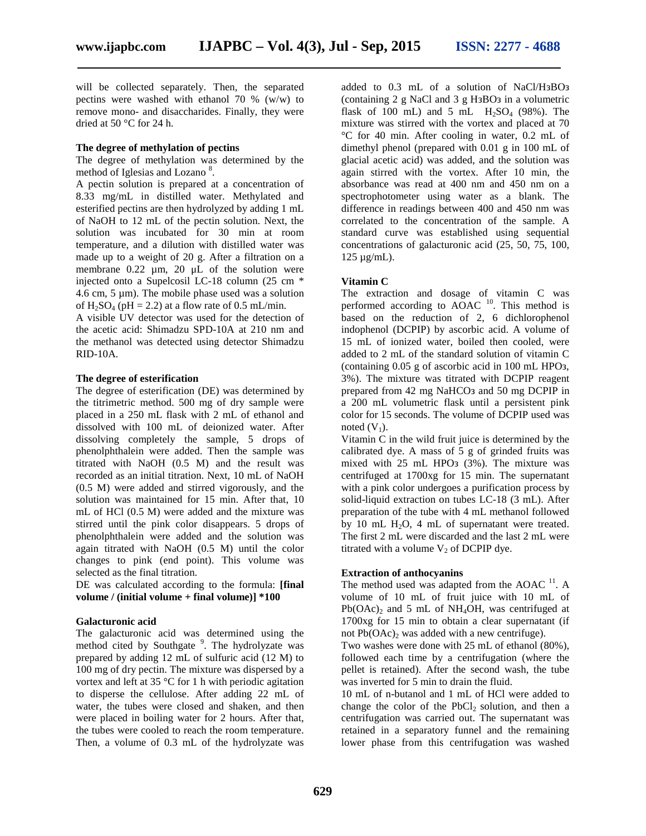will be collected separately. Then, the separated pectins were washed with ethanol 70 % (w/w) to remove mono- and disaccharides. Finally, they were dried at 50 °C for 24 h.

#### **The degree of methylation of pectins**

The degree of methylation was determined by the method of Iglesias and Lozano<sup>8</sup>.

A pectin solution is prepared at a concentration of 8.33 mg/mL in distilled water. Methylated and esterified pectins are then hydrolyzed by adding 1 mL of NaOH to 12 mL of the pectin solution. Next, the solution was incubated for 30 min at room temperature, and a dilution with distilled water was made up to a weight of 20 g. After a filtration on a membrane 0.22 µm, 20 μL of the solution were injected onto a Supelcosil LC-18 column (25 cm \* 4.6 cm, 5  $\mu$ m). The mobile phase used was a solution of  $H_2SO_4$  (pH = 2.2) at a flow rate of 0.5 mL/min.

A visible UV detector was used for the detection of the acetic acid: Shimadzu SPD-10A at 210 nm and the methanol was detected using detector Shimadzu RID-10A.

#### **The degree of esterification**

The degree of esterification (DE) was determined by the titrimetric method. 500 mg of dry sample were placed in a 250 mL flask with 2 mL of ethanol and dissolved with 100 mL of deionized water. After dissolving completely the sample, 5 drops of phenolphthalein were added. Then the sample was titrated with NaOH (0.5 M) and the result was recorded as an initial titration. Next, 10 mL of NaOH (0.5 M) were added and stirred vigorously, and the solution was maintained for 15 min. After that, 10 mL of HCl (0.5 M) were added and the mixture was stirred until the pink color disappears. 5 drops of phenolphthalein were added and the solution was again titrated with NaOH (0.5 M) until the color changes to pink (end point). This volume was selected as the final titration.

DE was calculated according to the formula: **[final**  $\text{volume} / (\text{initial volume} + \text{final volume})$  **\*100** 

# **Galacturonic acid**

The galacturonic acid was determined using the method cited by Southgate <sup>9</sup>. The hydrolyzate was prepared by adding 12 mL of sulfuric acid (12 M) to 100 mg of dry pectin. The mixture was dispersed by a vortex and left at 35 °C for 1 h with periodic agitation to disperse the cellulose. After adding 22 mL of water, the tubes were closed and shaken, and then were placed in boiling water for 2 hours. After that, the tubes were cooled to reach the room temperature. Then, a volume of 0.3 mL of the hydrolyzate was

added to 0.3 mL of a solution of NaCl/H BO (containing 2 g NaCl and 3 g H BO in a volumetric flask of 100 mL) and 5 mL  $H_2SO_4$  (98%). The mixture was stirred with the vortex and placed at 70 °C for 40 min. After cooling in water, 0.2 mL of dimethyl phenol (prepared with 0.01 g in 100 mL of glacial acetic acid) was added, and the solution was again stirred with the vortex. After 10 min, the absorbance was read at 400 nm and 450 nm on a spectrophotometer using water as a blank. The difference in readings between 400 and 450 nm was correlated to the concentration of the sample. A standard curve was established using sequential concentrations of galacturonic acid (25, 50, 75, 100,  $125 \mu g/mL$ ).

# **Vitamin C**

The extraction and dosage of vitamin C was performed according to  $\widetilde{AOAC}$ <sup>10</sup>. This method is based on the reduction of 2, 6 dichlorophenol indophenol (DCPIP) by ascorbic acid. A volume of 15 mL of ionized water, boiled then cooled, were added to 2 mL of the standard solution of vitamin C (containing  $0.05$  g of ascorbic acid in  $100$  mL HPO, 3%). The mixture was titrated with DCPIP reagent prepared from 42 mg NaHCO and 50 mg DCPIP in a 200 mL volumetric flask until a persistent pink color for 15 seconds. The volume of DCPIP used was noted  $(V_1)$ .

Vitamin C in the wild fruit juice is determined by the calibrated dye. A mass of 5 g of grinded fruits was mixed with 25 mL HPO (3%). The mixture was centrifuged at 1700xg for 15 min. The supernatant with a pink color undergoes a purification process by solid-liquid extraction on tubes LC-18 (3 mL). After preparation of the tube with 4 mL methanol followed by 10 mL  $H_2O$ , 4 mL of supernatant were treated. The first 2 mL were discarded and the last 2 mL were titrated with a volume  $V_2$  of DCPIP dye.

# **Extraction of anthocyanins**

The method used was adapted from the AOAC <sup>11</sup>. A volume of 10 mL of fruit juice with 10 mL of  $Pb(OAc)_2$  and 5 mL of NH<sub>4</sub>OH, was centrifuged at 1700xg for 15 min to obtain a clear supernatant (if not  $Pb(OAc)_2$  was added with a new centrifuge).

Two washes were done with 25 mL of ethanol (80%), followed each time by a centrifugation (where the pellet is retained). After the second wash, the tube was inverted for 5 min to drain the fluid.

10 mL of n-butanol and 1 mL of HCl were added to change the color of the PbCl<sub>2</sub> solution, and then a centrifugation was carried out. The supernatant was retained in a separatory funnel and the remaining lower phase from this centrifugation was washed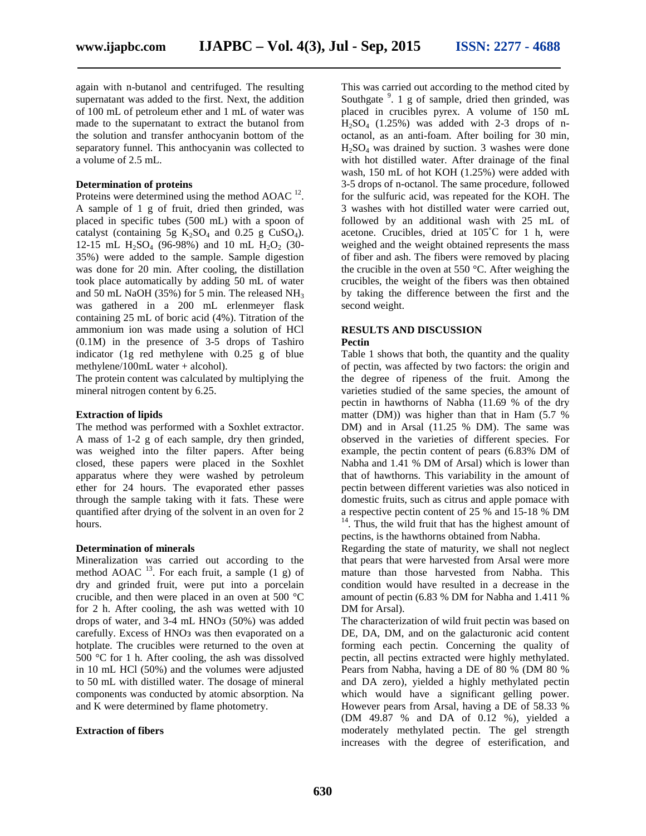again with n-butanol and centrifuged. The resulting supernatant was added to the first. Next, the addition of 100 mL of petroleum ether and 1 mL of water was made to the supernatant to extract the butanol from the solution and transfer anthocyanin bottom of the separatory funnel. This anthocyanin was collected to a volume of 2.5 mL.

#### **Determination of proteins**

Proteins were determined using the method AOAC  $^{12}$ . . A sample of 1 g of fruit, dried then grinded, was placed in specific tubes (500 mL) with a spoon of catalyst (containing 5g  $K_2SO_4$  and 0.25 g CuSO<sub>4</sub>). 12-15 mL  $H_2SO_4$  (96-98%) and 10 mL  $H_2O_2$  (30-35%) were added to the sample. Sample digestion was done for 20 min. After cooling, the distillation took place automatically by adding 50 mL of water and 50 mL NaOH (35%) for 5 min. The released  $NH<sub>3</sub>$ was gathered in a 200 mL erlenmeyer flask containing 25 mL of boric acid (4%). Titration of the ammonium ion was made using a solution of HCl (0.1M) in the presence of 3-5 drops of Tashiro indicator (1g red methylene with 0.25 g of blue methylene/100mL water + alcohol).

The protein content was calculated by multiplying the mineral nitrogen content by 6.25.

#### **Extraction of lipids**

The method was performed with a Soxhlet extractor. A mass of 1-2 g of each sample, dry then grinded, was weighed into the filter papers. After being closed, these papers were placed in the Soxhlet apparatus where they were washed by petroleum ether for 24 hours. The evaporated ether passes through the sample taking with it fats. These were quantified after drying of the solvent in an oven for 2 hours.

#### **Determination of minerals**

Mineralization was carried out according to the method AOAC  $^{13}$ . For each fruit, a sample (1 g) of dry and grinded fruit, were put into a porcelain crucible, and then were placed in an oven at 500 °C for 2 h. After cooling, the ash was wetted with 10 drops of water, and 3-4 mL HNO (50%) was added carefully. Excess of HNO was then evaporated on a hotplate. The crucibles were returned to the oven at 500 °C for 1 h. After cooling, the ash was dissolved in 10 mL HCl (50%) and the volumes were adjusted to 50 mL with distilled water. The dosage of mineral components was conducted by atomic absorption. Na and K were determined by flame photometry.

# **Extraction of fibers**

This was carried out according to the method cited by Southgate  $9$ . 1 g of sample, dried then grinded, was placed in crucibles pyrex. A volume of 150 mL  $H<sub>2</sub>SO<sub>4</sub>$  (1.25%) was added with 2-3 drops of noctanol, as an anti-foam. After boiling for 30 min,  $H<sub>2</sub>SO<sub>4</sub>$  was drained by suction. 3 washes were done with hot distilled water. After drainage of the final wash, 150 mL of hot KOH (1.25%) were added with 3-5 drops of n-octanol. The same procedure, followed for the sulfuric acid, was repeated for the KOH. The 3 washes with hot distilled water were carried out, followed by an additional wash with 25 mL of acetone. Crucibles, dried at 105˚C for 1 h, were weighed and the weight obtained represents the mass of fiber and ash. The fibers were removed by placing the crucible in the oven at 550 °C. After weighing the crucibles, the weight of the fibers was then obtained by taking the difference between the first and the second weight.

# **RESULTS AND DISCUSSION**

# **Pectin**

Table 1 shows that both, the quantity and the quality of pectin, was affected by two factors: the origin and the degree of ripeness of the fruit. Among the varieties studied of the same species, the amount of pectin in hawthorns of Nabha (11.69 % of the dry matter (DM)) was higher than that in Ham (5.7 % DM) and in Arsal (11.25 % DM). The same was observed in the varieties of different species. For example, the pectin content of pears (6.83% DM of Nabha and 1.41 % DM of Arsal) which is lower than that of hawthorns. This variability in the amount of pectin between different varieties was also noticed in domestic fruits, such as citrus and apple pomace with a respective pectin content of 25 % and 15-18 % DM <sup>14</sup>. Thus, the wild fruit that has the highest amount of

pectins, is the hawthorns obtained from Nabha.

Regarding the state of maturity, we shall not neglect that pears that were harvested from Arsal were more mature than those harvested from Nabha. This condition would have resulted in a decrease in the amount of pectin (6.83 % DM for Nabha and 1.411 % DM for Arsal).

The characterization of wild fruit pectin was based on DE, DA, DM, and on the galacturonic acid content forming each pectin. Concerning the quality of pectin, all pectins extracted were highly methylated. Pears from Nabha, having a DE of 80 % (DM 80 % and DA zero), yielded a highly methylated pectin which would have a significant gelling power. However pears from Arsal, having a DE of 58.33 % (DM 49.87 % and DA of 0.12 %), yielded a moderately methylated pectin. The gel strength increases with the degree of esterification, and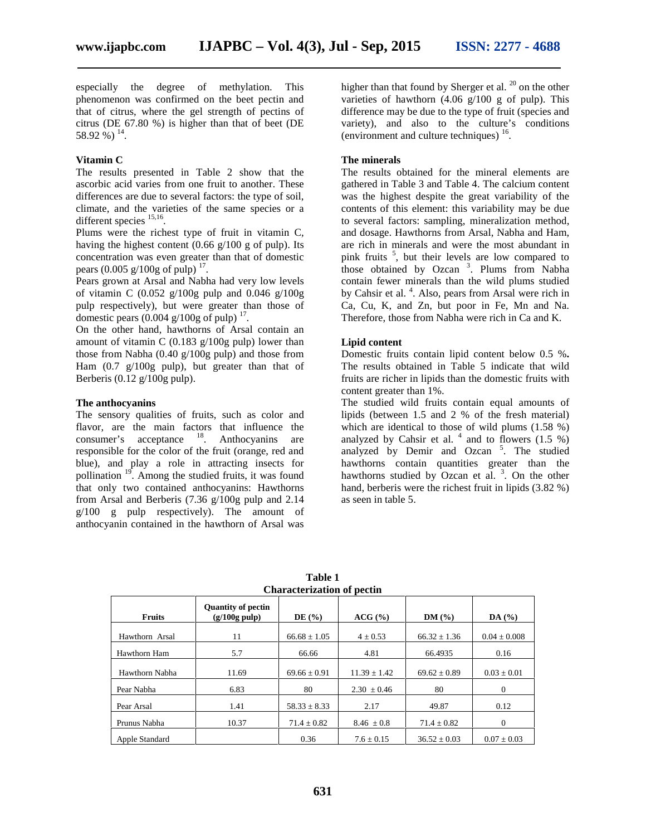especially the degree of methylation. This phenomenon was confirmed on the beet pectin and that of citrus, where the gel strength of pectins of citrus (DE 67.80 %) is higher than that of beet (DE 58.92 %)  $^{14}$ .

# **Vitamin C**

The results presented in Table 2 show that the ascorbic acid varies from one fruit to another. These differences are due to several factors: the type of soil, climate, and the varieties of the same species or a different species  $^{15,16}$ .

Plums were the richest type of fruit in vitamin C, having the highest content  $(0.66 \text{ g}/100 \text{ g of pulp})$ . Its concentration was even greater than that of domestic pears  $(0.005 \text{ g}/100 \text{ g of pulp})$ <sup>17</sup>.

Pears grown at Arsal and Nabha had very low levels of vitamin C (0.052 g/100g pulp and 0.046 g/100g pulp respectively), but were greater than those of domestic pears  $(0.004 \text{ g}/100 \text{ g of pulp})$ <sup>17</sup>.

On the other hand, hawthorns of Arsal contain an amount of vitamin C  $(0.183 \text{ g}/100 \text{g} \text{ pulp})$  lower than those from Nabha (0.40 g/100g pulp) and those from Ham (0.7 g/100g pulp), but greater than that of Berberis  $(0.12 \text{ g}/100 \text{ g} \text{ pulp}).$ 

# **The anthocyanins**

The sensory qualities of fruits, such as color and flavor, are the main factors that influence the consumer's acceptance <sup>18</sup>. Anthocyanins are responsible for the color of the fruit (orange, red and blue), and play a role in attracting insects for pollination  $19<sup>°</sup>$ . Among the studied fruits, it was found that only two contained anthocyanins: Hawthorns from Arsal and Berberis (7.36 g/100g pulp and 2.14  $g/100$  g pulp respectively). The amount of anthocyanin contained in the hawthorn of Arsal was

higher than that found by Sherger et al.  $^{20}$  on the other varieties of hawthorn  $(4.06 \text{ g}/100 \text{ g}$  of pulp). This difference may be due to the type of fruit (species and variety), and also to the culture's conditions (environment and culture techniques)  $16$ .

#### **The minerals**

The results obtained for the mineral elements are gathered in Table 3 and Table 4. The calcium content was the highest despite the great variability of the contents of this element: this variability may be due to several factors: sampling, mineralization method, and dosage. Hawthorns from Arsal, Nabha and Ham, are rich in minerals and were the most abundant in pink fruits <sup>5</sup> , but their levels are low compared to those obtained by Ozcan<sup>3</sup>. Plums from Nabha contain fewer minerals than the wild plums studied by Cahsir et al.<sup>4</sup>. Also, pears from Arsal were rich in Ca, Cu, K, and Zn, but poor in Fe, Mn and Na. Therefore, those from Nabha were rich in Ca and K.

## **Lipid content**

Domestic fruits contain lipid content below 0.5 %**.** The results obtained in Table 5 indicate that wild fruits are richer in lipids than the domestic fruits with content greater than 1%.

The studied wild fruits contain equal amounts of lipids (between 1.5 and 2 % of the fresh material) which are identical to those of wild plums (1.58 %) analyzed by Cahsir et al.  $4$  and to flowers (1.5 %) analyzed by Demir and Ozcan<sup>5</sup>. The studied hawthorns contain quantities greater than the hawthorns studied by Ozcan et al.  $3$ . On the other hand, berberis were the richest fruit in lipids (3.82 %) as seen in table 5.

| Unaracterization of pecun |                                                      |                  |                       |                  |                  |  |  |  |  |
|---------------------------|------------------------------------------------------|------------------|-----------------------|------------------|------------------|--|--|--|--|
| <b>Fruits</b>             | <b>Quantity of pectin</b><br>$(g/100g \text{ pulp})$ | DE $(\% )$       | $ACG$ $(\frac{9}{6})$ | DM(%)            | DA(%)            |  |  |  |  |
| Hawthorn Arsal            | 11                                                   | $66.68 \pm 1.05$ | $4 \pm 0.53$          | $66.32 \pm 1.36$ | $0.04 \pm 0.008$ |  |  |  |  |
| Hawthorn Ham              | 5.7                                                  | 66.66            | 4.81                  | 66.4935          | 0.16             |  |  |  |  |
| Hawthorn Nabha            | 11.69                                                | $69.66 \pm 0.91$ | $11.39 \pm 1.42$      | $69.62 \pm 0.89$ | $0.03 \pm 0.01$  |  |  |  |  |
| Pear Nabha                | 6.83                                                 | 80               | $2.30 \pm 0.46$       | 80               | $\theta$         |  |  |  |  |
| Pear Arsal                | 1.41                                                 | $58.33 \pm 8.33$ | 2.17                  | 49.87            | 0.12             |  |  |  |  |
| Prunus Nabha              | 10.37                                                | $71.4 \pm 0.82$  | $8.46 \pm 0.8$        | $71.4 \pm 0.82$  | $\mathbf{0}$     |  |  |  |  |
| Apple Standard            |                                                      | 0.36             | $7.6 \pm 0.15$        | $36.52 \pm 0.03$ | $0.07 \pm 0.03$  |  |  |  |  |

**Table 1 Characterization of pectin**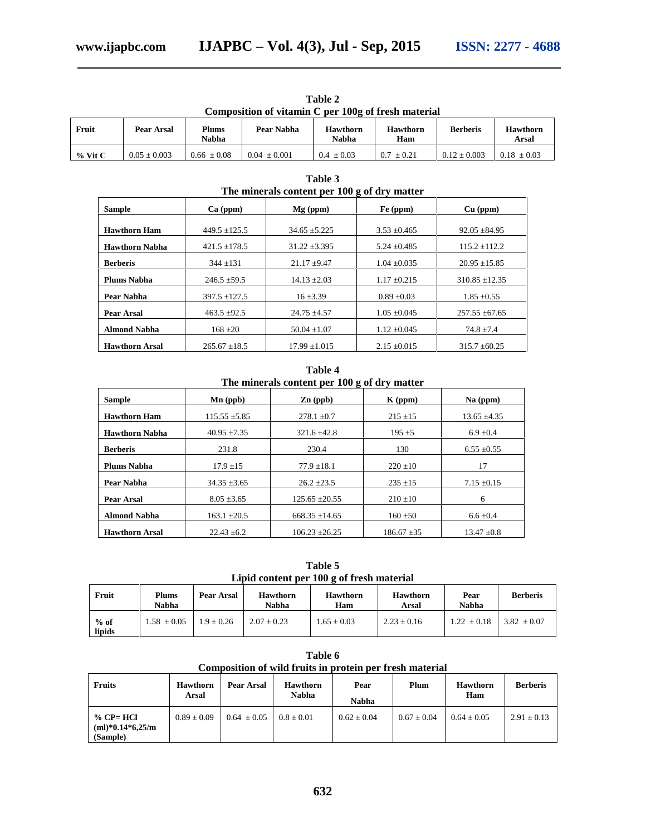| Composition of vitamin C per 100g of fresh material |                |                       |                |                          |                        |                  |                          |  |  |
|-----------------------------------------------------|----------------|-----------------------|----------------|--------------------------|------------------------|------------------|--------------------------|--|--|
| Fruit                                               | Pear Arsal     | <b>Plums</b><br>Nabha | Pear Nabha     | <b>Hawthorn</b><br>Nabha | <b>Hawthorn</b><br>Ham | <b>Berberis</b>  | <b>Hawthorn</b><br>Arsal |  |  |
| $%$ Vit C                                           | $0.05 + 0.003$ | $0.66 + 0.08$         | $0.04 + 0.001$ | $0.4 + 0.03$             | $0.7 + 0.21$           | $0.12 \pm 0.003$ | $0.18 \pm 0.03$          |  |  |

**Table 2**

| The minerals content per 100 g of dry matter |                   |                  |                  |                    |  |  |  |  |
|----------------------------------------------|-------------------|------------------|------------------|--------------------|--|--|--|--|
| <b>Sample</b>                                | $Ca$ (ppm)        | $Mg$ (ppm)       | Fe (ppm)         | $Cu$ (ppm)         |  |  |  |  |
| <b>Hawthorn Ham</b>                          | $449.5 \pm 125.5$ | $34.65 + 5.225$  | $3.53 \pm 0.465$ | $92.05 \pm 84.95$  |  |  |  |  |
| <b>Hawthorn Nabha</b>                        | $421.5 \pm 178.5$ | $31.22 + 3.395$  | $5.24 \pm 0.485$ | $115.2 + 112.2$    |  |  |  |  |
| <b>Berberis</b>                              | $344 + 131$       | $21.17 + 9.47$   | $1.04 + 0.035$   | $20.95 + 15.85$    |  |  |  |  |
| <b>Plums Nabha</b>                           | $246.5 \pm 59.5$  | $14.13 \pm 2.03$ | $1.17 \pm 0.215$ | $310.85 + 12.35$   |  |  |  |  |
| Pear Nabha                                   | $397.5 \pm 127.5$ | $16 + 3.39$      | $0.89 \pm 0.03$  | $1.85 \pm 0.55$    |  |  |  |  |
| Pear Arsal                                   | $463.5 \pm 92.5$  | $24.75 + 4.57$   | $1.05 \pm 0.045$ | $257.55 \pm 67.65$ |  |  |  |  |
| <b>Almond Nabha</b>                          | $168 + 20$        | $50.04 \pm 1.07$ | $1.12 \pm 0.045$ | $74.8 \pm 7.4$     |  |  |  |  |
| <b>Hawthorn Arsal</b>                        | $265.67 + 18.5$   | $17.99 + 1.015$  | $2.15 + 0.015$   | $315.7 + 60.25$    |  |  |  |  |

**Table 3**

**Table 4 The minerals content per 100 g of dry matter**

|                       |                                      | -                   |                 |                  |  |  |
|-----------------------|--------------------------------------|---------------------|-----------------|------------------|--|--|
| <b>Sample</b>         | $\mathbf{Mn}$ (ppb)                  | $\mathbf{Zn}$ (ppb) | $K$ (ppm)       | $Na$ (ppm)       |  |  |
| <b>Hawthorn Ham</b>   | $115.55 \pm 5.85$                    | $278.1 \pm 0.7$     | $215 \pm 15$    | $13.65 \pm 4.35$ |  |  |
| <b>Hawthorn Nabha</b> | $40.95 \pm 7.35$<br>$321.6 \pm 42.8$ |                     | $195 \pm 5$     | $6.9 \pm 0.4$    |  |  |
| <b>Berberis</b>       | 231.8                                |                     | 130             | $6.55 \pm 0.55$  |  |  |
| <b>Plums Nabha</b>    | $17.9 \pm 15$                        | $77.9 \pm 18.1$     | $220 \pm 10$    | 17               |  |  |
| Pear Nabha            | $34.35 \pm 3.65$                     | $26.2 \pm 23.5$     | $235 \pm 15$    | $7.15 \pm 0.15$  |  |  |
| Pear Arsal            | $8.05 \pm 3.65$                      | $125.65 \pm 20.55$  | $210 \pm 10$    | 6                |  |  |
| <b>Almond Nabha</b>   | $163.1 \pm 20.5$                     | $668.35 \pm 14.65$  | $160 + 50$      | $6.6 \pm 0.4$    |  |  |
| <b>Hawthorn Arsal</b> | $22.43 \pm 6.2$                      | $106.23 \pm 26.25$  | $186.67 \pm 35$ | $13.47 \pm 0.8$  |  |  |

**Table 5 Lipid content per 100 g of fresh material**

| Fruit            | <b>Plums</b><br>Nabha | Pear Arsal   | <b>Hawthorn</b><br>Nabha | <b>Hawthorn</b><br>Ham | <b>Hawthorn</b><br>Arsal | Pear<br>Nabha   | <b>Berberis</b> |
|------------------|-----------------------|--------------|--------------------------|------------------------|--------------------------|-----------------|-----------------|
| $%$ of<br>lipids | $1.58 \pm 0.05$       | $1.9 + 0.26$ | $2.07 + 0.23$            | $1.65 \pm 0.03$        | $2.23 \pm 0.16$          | $1.22 \pm 0.18$ | $3.82 \pm 0.07$ |

**Table 6 Composition of wild fruits in protein per fresh material**

| <b>Fruits</b>                                  | <b>Hawthorn</b><br><b>Arsal</b> | Pear Arsal      | <b>Hawthorn</b><br><b>Nabha</b> | Pear<br><b>Nabha</b> | Plum          | <b>Hawthorn</b><br>Ham | <b>Berberis</b> |
|------------------------------------------------|---------------------------------|-----------------|---------------------------------|----------------------|---------------|------------------------|-----------------|
| $\%$ CP= HCl<br>$(ml)*0.14*6.25/m$<br>(Sample) | $0.89 \pm 0.09$                 | $0.64 \pm 0.05$ | $0.8 + 0.01$                    | $0.62 + 0.04$        | $0.67 + 0.04$ | $0.64 + 0.05$          | $2.91 \pm 0.13$ |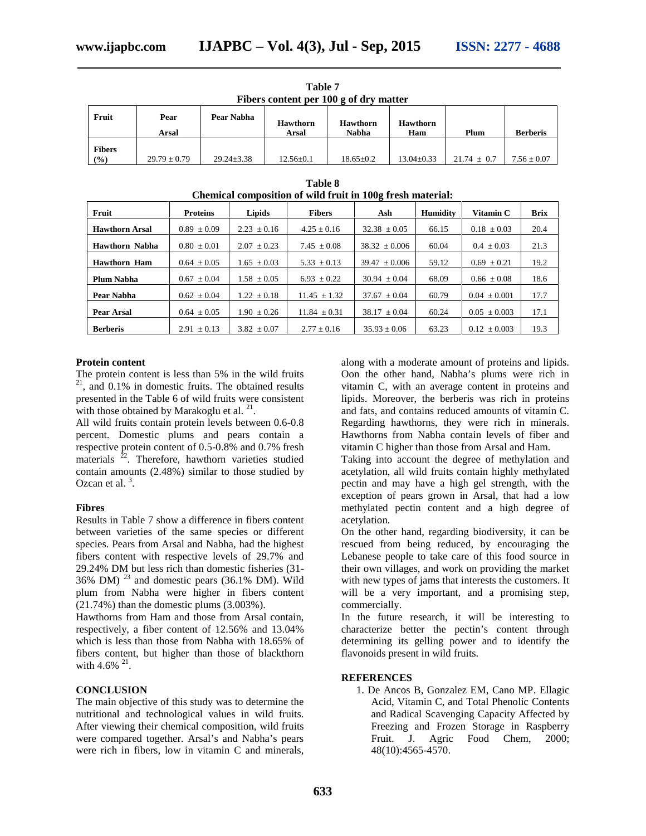|               | Fibers content per 100 g of dry matter |                  |                 |                 |                  |                 |                 |  |  |  |
|---------------|----------------------------------------|------------------|-----------------|-----------------|------------------|-----------------|-----------------|--|--|--|
| Fruit         | Pear                                   | Pear Nabha       | <b>Hawthorn</b> | <b>Hawthorn</b> | <b>Hawthorn</b>  |                 |                 |  |  |  |
|               | Arsal                                  |                  | Arsal           | Nabha           | Ham              | Plum            | <b>Berberis</b> |  |  |  |
| <b>Fibers</b> |                                        |                  |                 |                 |                  |                 |                 |  |  |  |
| $($ %)        | $29.79 \pm 0.79$                       | $29.24 \pm 3.38$ | $12.56 \pm 0.1$ | $18.65 \pm 0.2$ | $13.04 \pm 0.33$ | $21.74 \pm 0.7$ | $7.56 \pm 0.07$ |  |  |  |

**Table 7 Fibers content per 100 g of dry matter**

| Chemical composition of wild fruit in 100g fresh material: |                 |                 |                  |                   |                 |                  |             |  |  |
|------------------------------------------------------------|-----------------|-----------------|------------------|-------------------|-----------------|------------------|-------------|--|--|
| Fruit                                                      | <b>Proteins</b> | Lipids          | <b>Fibers</b>    | Ash               | <b>Humidity</b> | Vitamin C        | <b>Brix</b> |  |  |
| <b>Hawthorn Arsal</b>                                      | $0.89 \pm 0.09$ | $2.23 \pm 0.16$ | $4.25 \pm 0.16$  | $32.38 \pm 0.05$  | 66.15           | $0.18 \pm 0.03$  | 20.4        |  |  |
| <b>Hawthorn Nabha</b>                                      | $0.80 \pm 0.01$ | $2.07 \pm 0.23$ | $7.45 \pm 0.08$  | $38.32 \pm 0.006$ | 60.04           | $0.4 \pm 0.03$   | 21.3        |  |  |
| Hawthorn Ham                                               | $0.64 \pm 0.05$ | $1.65 \pm 0.03$ | $5.33 \pm 0.13$  | $39.47 \pm 0.006$ | 59.12           | $0.69 \pm 0.21$  | 19.2        |  |  |
| <b>Plum Nabha</b>                                          | $0.67 \pm 0.04$ | $1.58 \pm 0.05$ | $6.93 \pm 0.22$  | $30.94 \pm 0.04$  | 68.09           | $0.66 \pm 0.08$  | 18.6        |  |  |
| Pear Nabha                                                 | $0.62 \pm 0.04$ | $1.22 \pm 0.18$ | $11.45 \pm 1.32$ | $37.67 \pm 0.04$  | 60.79           | $0.04 \pm 0.001$ | 17.7        |  |  |
| Pear Arsal                                                 | $0.64 \pm 0.05$ | $1.90 \pm 0.26$ | $11.84 \pm 0.31$ | $38.17 \pm 0.04$  | 60.24           | $0.05 \pm 0.003$ | 17.1        |  |  |
| <b>Berberis</b>                                            | $2.91 \pm 0.13$ | $3.82 \pm 0.07$ | $2.77 \pm 0.16$  | $35.93 \pm 0.06$  | 63.23           | $0.12 \pm 0.003$ | 19.3        |  |  |

# **Table 8**

# **Protein content**

The protein content is less than 5% in the wild fruits  $21$ , and 0.1% in domestic fruits. The obtained results presented in the Table 6 of wild fruits were consistent with those obtained by Marakoglu et al.  $21$ .

All wild fruits contain protein levels between 0.6-0.8 percent. Domestic plums and pears contain a respective protein content of 0.5-0.8% and 0.7% fresh materials  $2^2$ . Therefore, hawthorn varieties studied contain amounts (2.48%) similar to those studied by Ozcan et al.  $3$ .

# **Fibres**

Results in Table 7 show a difference in fibers content between varieties of the same species or different species. Pears from Arsal and Nabha, had the highest fibers content with respective levels of 29.7% and 29.24% DM but less rich than domestic fisheries (31- 36% DM)  $^{23}$  and domestic pears (36.1% DM). Wild plum from Nabha were higher in fibers content (21.74%) than the domestic plums (3.003%).

Hawthorns from Ham and those from Arsal contain, respectively, a fiber content of 12.56% and 13.04% which is less than those from Nabha with 18.65% of fibers content, but higher than those of blackthorn with  $4.6\%$   $^{21}$ .

# **CONCLUSION**

The main objective of this study was to determine the nutritional and technological values in wild fruits. After viewing their chemical composition, wild fruits were compared together. Arsal's and Nabha's pears were rich in fibers, low in vitamin C and minerals,

along with a moderate amount of proteins and lipids. Oon the other hand, Nabha's plums were rich in vitamin C, with an average content in proteins and lipids. Moreover, the berberis was rich in proteins and fats, and contains reduced amounts of vitamin C. Regarding hawthorns, they were rich in minerals. Hawthorns from Nabha contain levels of fiber and vitamin C higher than those from Arsal and Ham.

Taking into account the degree of methylation and acetylation, all wild fruits contain highly methylated pectin and may have a high gel strength, with the exception of pears grown in Arsal, that had a low methylated pectin content and a high degree of acetylation.

On the other hand, regarding biodiversity, it can be rescued from being reduced, by encouraging the Lebanese people to take care of this food source in their own villages, and work on providing the market with new types of jams that interests the customers. It will be a very important, and a promising step, commercially.

In the future research, it will be interesting to characterize better the pectin's content through determining its gelling power and to identify the flavonoids present in wild fruits.

# **REFERENCES**

1. De Ancos B, Gonzalez EM, Cano MP. Ellagic Acid, Vitamin C, and Total Phenolic Contents and Radical Scavenging Capacity Affected by Freezing and Frozen Storage in Raspberry Fruit. J. Agric Food Chem, 2000; 48(10):4565-4570.